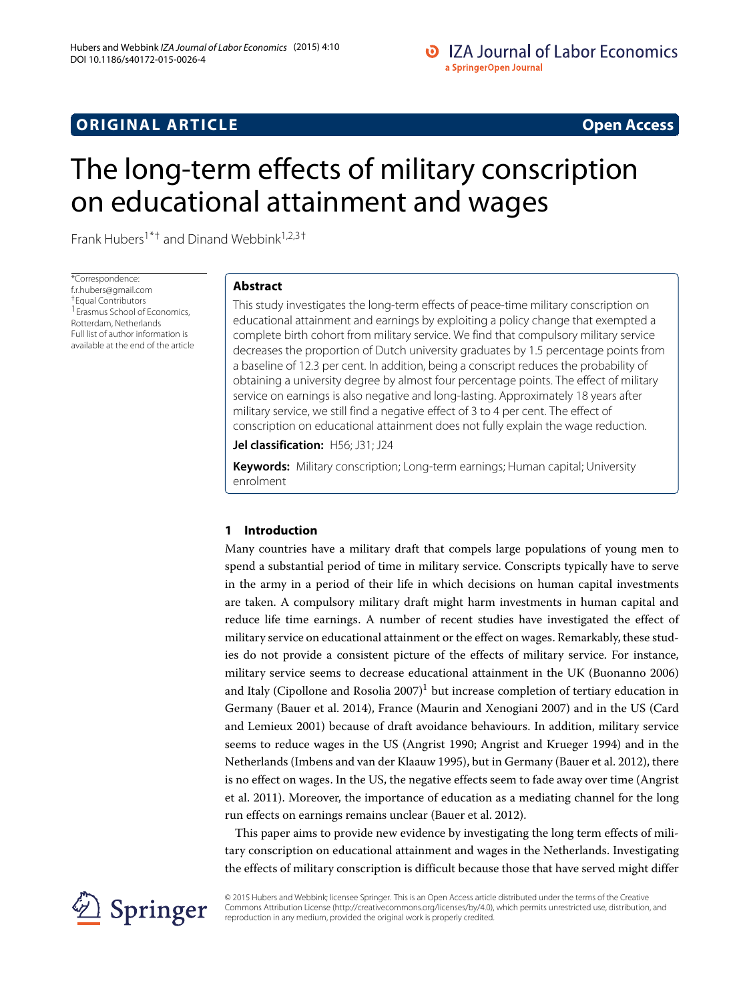## **ORIGINAL ARTICLE Open Access**

# The long-term effects of military conscription on educational attainment and wages

Frank Hubers<sup>1\*†</sup> and Dinand Webbink<sup>1,2,3†</sup>

\*Correspondence: [f.r.hubers@gmail.com](mailto: f.r.hubers@gmail.com) †Equal Contributors 1Erasmus School of Economics, Rotterdam, Netherlands Full list of author information is available at the end of the article

#### **Abstract**

This study investigates the long-term effects of peace-time military conscription on educational attainment and earnings by exploiting a policy change that exempted a complete birth cohort from military service. We find that compulsory military service decreases the proportion of Dutch university graduates by 1.5 percentage points from a baseline of 12.3 per cent. In addition, being a conscript reduces the probability of obtaining a university degree by almost four percentage points. The effect of military service on earnings is also negative and long-lasting. Approximately 18 years after military service, we still find a negative effect of 3 to 4 per cent. The effect of conscription on educational attainment does not fully explain the wage reduction.

**Jel classification:** H56; J31; J24

**Keywords:** Military conscription; Long-term earnings; Human capital; University enrolment

### **1 Introduction**

Many countries have a military draft that compels large populations of young men to spend a substantial period of time in military service. Conscripts typically have to serve in the army in a period of their life in which decisions on human capital investments are taken. A compulsory military draft might harm investments in human capital and reduce life time earnings. A number of recent studies have investigated the effect of military service on educational attainment or the effect on wages. Remarkably, these studies do not provide a consistent picture of the effects of military service. For instance, military service seems to decrease educational attainment in the UK (Buonanno [2006\)](#page-15-0) and Italy (Cipollone and Rosolia  $2007$ <sup>1</sup> but increase completion of tertiary education in Germany (Bauer et al. [2014\)](#page-15-2), France (Maurin and Xenogiani [2007\)](#page-15-3) and in the US (Card and Lemieux [2001\)](#page-15-4) because of draft avoidance behaviours. In addition, military service seems to reduce wages in the US (Angrist [1990;](#page-15-5) Angrist and Krueger [1994\)](#page-15-6) and in the Netherlands (Imbens and van der Klaauw [1995\)](#page-15-7), but in Germany (Bauer et al. [2012\)](#page-15-8), there is no effect on wages. In the US, the negative effects seem to fade away over time (Angrist et al. [2011\)](#page-15-9). Moreover, the importance of education as a mediating channel for the long run effects on earnings remains unclear (Bauer et al. [2012\)](#page-15-8).

This paper aims to provide new evidence by investigating the long term effects of military conscription on educational attainment and wages in the Netherlands. Investigating the effects of military conscription is difficult because those that have served might differ



© 2015 Hubers and Webbink; licensee Springer. This is an Open Access article distributed under the terms of the Creative Commons Attribution License [\(http://creativecommons.org/licenses/by/4.0\)](http://creativecommons.org/licenses/by/4.0), which permits unrestricted use, distribution, and reproduction in any medium, provided the original work is properly credited.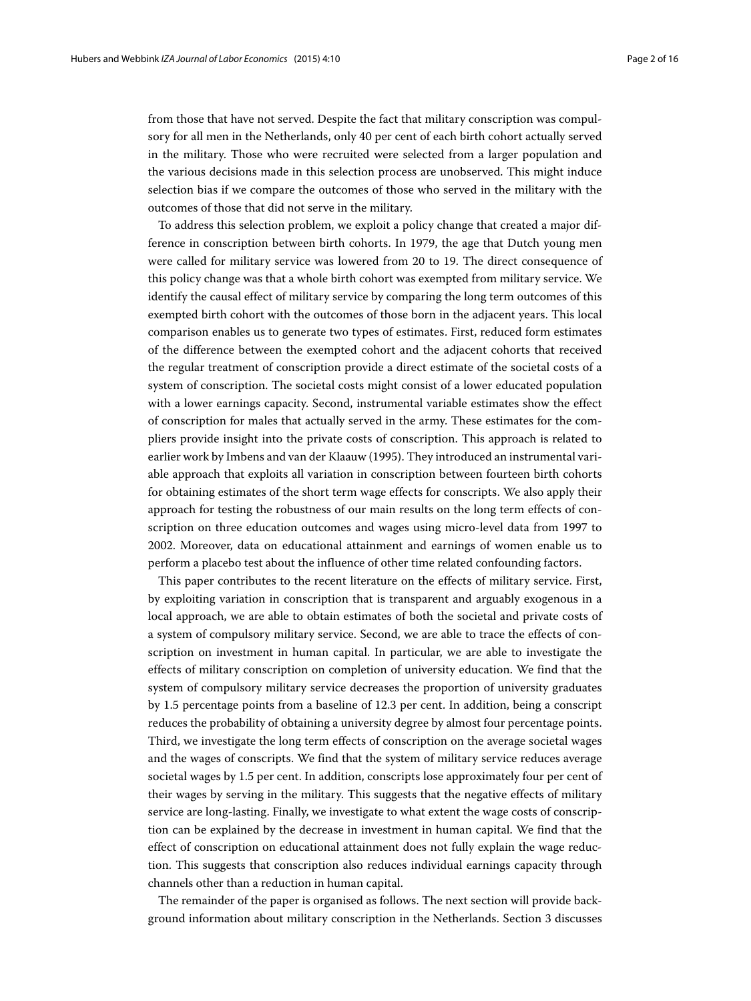from those that have not served. Despite the fact that military conscription was compulsory for all men in the Netherlands, only 40 per cent of each birth cohort actually served in the military. Those who were recruited were selected from a larger population and the various decisions made in this selection process are unobserved. This might induce selection bias if we compare the outcomes of those who served in the military with the outcomes of those that did not serve in the military.

To address this selection problem, we exploit a policy change that created a major difference in conscription between birth cohorts. In 1979, the age that Dutch young men were called for military service was lowered from 20 to 19. The direct consequence of this policy change was that a whole birth cohort was exempted from military service. We identify the causal effect of military service by comparing the long term outcomes of this exempted birth cohort with the outcomes of those born in the adjacent years. This local comparison enables us to generate two types of estimates. First, reduced form estimates of the difference between the exempted cohort and the adjacent cohorts that received the regular treatment of conscription provide a direct estimate of the societal costs of a system of conscription. The societal costs might consist of a lower educated population with a lower earnings capacity. Second, instrumental variable estimates show the effect of conscription for males that actually served in the army. These estimates for the compliers provide insight into the private costs of conscription. This approach is related to earlier work by Imbens and van der Klaauw [\(1995\)](#page-15-7). They introduced an instrumental variable approach that exploits all variation in conscription between fourteen birth cohorts for obtaining estimates of the short term wage effects for conscripts. We also apply their approach for testing the robustness of our main results on the long term effects of conscription on three education outcomes and wages using micro-level data from 1997 to 2002. Moreover, data on educational attainment and earnings of women enable us to perform a placebo test about the influence of other time related confounding factors.

This paper contributes to the recent literature on the effects of military service. First, by exploiting variation in conscription that is transparent and arguably exogenous in a local approach, we are able to obtain estimates of both the societal and private costs of a system of compulsory military service. Second, we are able to trace the effects of conscription on investment in human capital. In particular, we are able to investigate the effects of military conscription on completion of university education. We find that the system of compulsory military service decreases the proportion of university graduates by 1.5 percentage points from a baseline of 12.3 per cent. In addition, being a conscript reduces the probability of obtaining a university degree by almost four percentage points. Third, we investigate the long term effects of conscription on the average societal wages and the wages of conscripts. We find that the system of military service reduces average societal wages by 1.5 per cent. In addition, conscripts lose approximately four per cent of their wages by serving in the military. This suggests that the negative effects of military service are long-lasting. Finally, we investigate to what extent the wage costs of conscription can be explained by the decrease in investment in human capital. We find that the effect of conscription on educational attainment does not fully explain the wage reduction. This suggests that conscription also reduces individual earnings capacity through channels other than a reduction in human capital.

The remainder of the paper is organised as follows. The next section will provide background information about military conscription in the Netherlands. Section [3](#page-3-0) discusses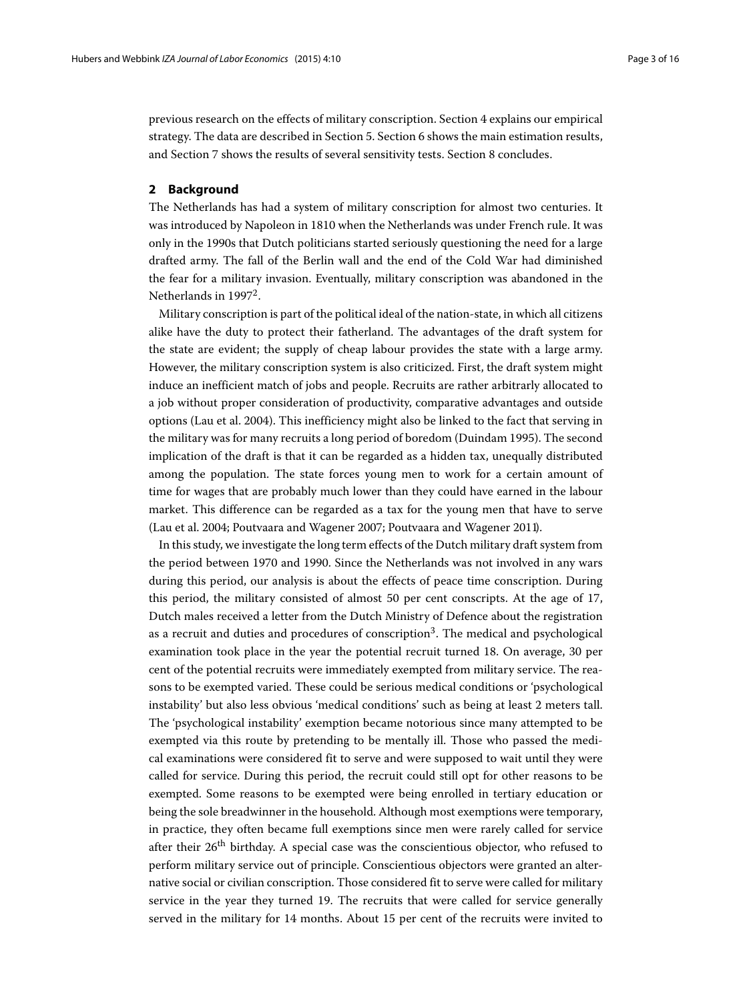previous research on the effects of military conscription. Section [4](#page-4-0) explains our empirical strategy. The data are described in Section [5.](#page-6-0) Section [6](#page-7-0) shows the main estimation results, and Section [7](#page-11-0) shows the results of several sensitivity tests. Section [8](#page-13-0) concludes.

#### **2 Background**

The Netherlands has had a system of military conscription for almost two centuries. It was introduced by Napoleon in 1810 when the Netherlands was under French rule. It was only in the 1990s that Dutch politicians started seriously questioning the need for a large drafted army. The fall of the Berlin wall and the end of the Cold War had diminished the fear for a military invasion. Eventually, military conscription was abandoned in the Netherlands in 1997<sup>2</sup>.

Military conscription is part of the political ideal of the nation-state, in which all citizens alike have the duty to protect their fatherland. The advantages of the draft system for the state are evident; the supply of cheap labour provides the state with a large army. However, the military conscription system is also criticized. First, the draft system might induce an inefficient match of jobs and people. Recruits are rather arbitrarly allocated to a job without proper consideration of productivity, comparative advantages and outside options (Lau et al. [2004\)](#page-15-10). This inefficiency might also be linked to the fact that serving in the military was for many recruits a long period of boredom (Duindam [1995\)](#page-15-11). The second implication of the draft is that it can be regarded as a hidden tax, unequally distributed among the population. The state forces young men to work for a certain amount of time for wages that are probably much lower than they could have earned in the labour market. This difference can be regarded as a tax for the young men that have to serve (Lau et al. [2004;](#page-15-10) Poutvaara and Wagener [2007;](#page-15-12) Poutvaara and Wagener [2011\).](#page-15-13)

In this study, we investigate the long term effects of the Dutch military draft system from the period between 1970 and 1990. Since the Netherlands was not involved in any wars during this period, our analysis is about the effects of peace time conscription. During this period, the military consisted of almost 50 per cent conscripts. At the age of 17, Dutch males received a letter from the Dutch Ministry of Defence about the registration as a recruit and duties and procedures of conscription<sup>3</sup>. The medical and psychological examination took place in the year the potential recruit turned 18. On average, 30 per cent of the potential recruits were immediately exempted from military service. The reasons to be exempted varied. These could be serious medical conditions or 'psychological instability' but also less obvious 'medical conditions' such as being at least 2 meters tall. The 'psychological instability' exemption became notorious since many attempted to be exempted via this route by pretending to be mentally ill. Those who passed the medical examinations were considered fit to serve and were supposed to wait until they were called for service. During this period, the recruit could still opt for other reasons to be exempted. Some reasons to be exempted were being enrolled in tertiary education or being the sole breadwinner in the household. Although most exemptions were temporary, in practice, they often became full exemptions since men were rarely called for service after their  $26<sup>th</sup>$  birthday. A special case was the conscientious objector, who refused to perform military service out of principle. Conscientious objectors were granted an alternative social or civilian conscription. Those considered fit to serve were called for military service in the year they turned 19. The recruits that were called for service generally served in the military for 14 months. About 15 per cent of the recruits were invited to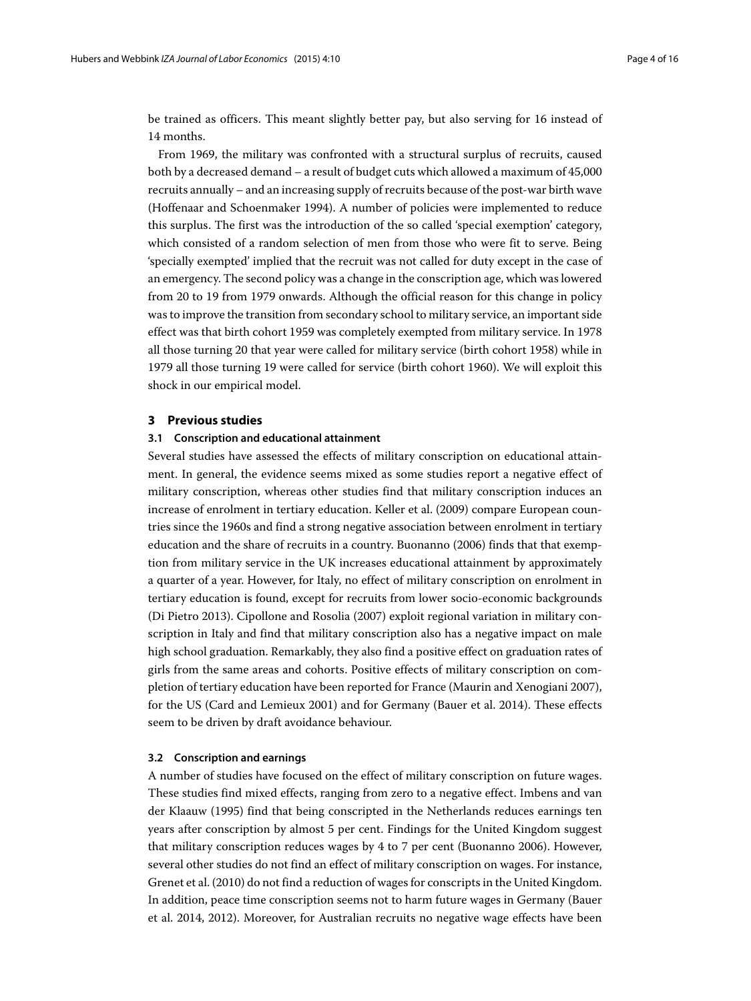be trained as officers. This meant slightly better pay, but also serving for 16 instead of 14 months.

From 1969, the military was confronted with a structural surplus of recruits, caused both by a decreased demand – a result of budget cuts which allowed a maximum of 45,000 recruits annually – and an increasing supply of recruits because of the post-war birth wave (Hoffenaar and Schoenmaker [1994\)](#page-15-14). A number of policies were implemented to reduce this surplus. The first was the introduction of the so called 'special exemption' category, which consisted of a random selection of men from those who were fit to serve. Being 'specially exempted' implied that the recruit was not called for duty except in the case of an emergency. The second policy was a change in the conscription age, which was lowered from 20 to 19 from 1979 onwards. Although the official reason for this change in policy was to improve the transition from secondary school to military service, an important side effect was that birth cohort 1959 was completely exempted from military service. In 1978 all those turning 20 that year were called for military service (birth cohort 1958) while in 1979 all those turning 19 were called for service (birth cohort 1960). We will exploit this shock in our empirical model.

#### <span id="page-3-0"></span>**3 Previous studies**

#### **3.1 Conscription and educational attainment**

Several studies have assessed the effects of military conscription on educational attainment. In general, the evidence seems mixed as some studies report a negative effect of military conscription, whereas other studies find that military conscription induces an increase of enrolment in tertiary education. Keller et al. [\(2009\)](#page-15-15) compare European countries since the 1960s and find a strong negative association between enrolment in tertiary education and the share of recruits in a country. Buonanno [\(2006\)](#page-15-0) finds that that exemption from military service in the UK increases educational attainment by approximately a quarter of a year. However, for Italy, no effect of military conscription on enrolment in tertiary education is found, except for recruits from lower socio-economic backgrounds (Di Pietro [2013\)](#page-15-16). Cipollone and Rosolia [\(2007\)](#page-15-1) exploit regional variation in military conscription in Italy and find that military conscription also has a negative impact on male high school graduation. Remarkably, they also find a positive effect on graduation rates of girls from the same areas and cohorts. Positive effects of military conscription on completion of tertiary education have been reported for France (Maurin and Xenogiani [2007\)](#page-15-3), for the US (Card and Lemieux [2001\)](#page-15-4) and for Germany (Bauer et al. [2014\)](#page-15-2). These effects seem to be driven by draft avoidance behaviour.

#### **3.2 Conscription and earnings**

A number of studies have focused on the effect of military conscription on future wages. These studies find mixed effects, ranging from zero to a negative effect. Imbens and van der Klaauw [\(1995\)](#page-15-7) find that being conscripted in the Netherlands reduces earnings ten years after conscription by almost 5 per cent. Findings for the United Kingdom suggest that military conscription reduces wages by 4 to 7 per cent (Buonanno [2006\)](#page-15-0). However, several other studies do not find an effect of military conscription on wages. For instance, Grenet et al. [\(2010\)](#page-15-17) do not find a reduction of wages for conscripts in the United Kingdom. In addition, peace time conscription seems not to harm future wages in Germany (Bauer et al. [2014,](#page-15-2) [2012\)](#page-15-8). Moreover, for Australian recruits no negative wage effects have been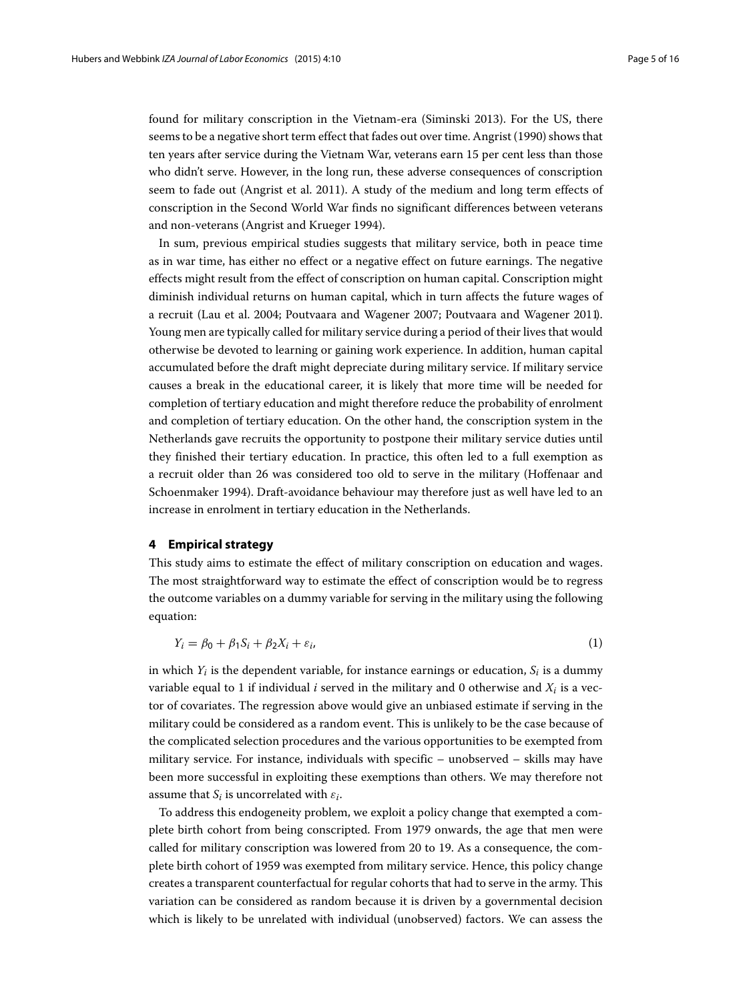found for military conscription in the Vietnam-era (Siminski [2013\)](#page-15-18). For the US, there seems to be a negative short term effect that fades out over time. Angrist [\(1990\)](#page-15-5) shows that ten years after service during the Vietnam War, veterans earn 15 per cent less than those who didn't serve. However, in the long run, these adverse consequences of conscription seem to fade out (Angrist et al. [2011\)](#page-15-9). A study of the medium and long term effects of conscription in the Second World War finds no significant differences between veterans and non-veterans (Angrist and Krueger [1994\)](#page-15-6).

In sum, previous empirical studies suggests that military service, both in peace time as in war time, has either no effect or a negative effect on future earnings. The negative effects might result from the effect of conscription on human capital. Conscription might diminish individual returns on human capital, which in turn affects the future wages of a recruit (Lau et al. [2004;](#page-15-10) Poutvaara and Wagener [2007;](#page-15-12) Poutvaara and Wagener [2011\).](#page-15-13) Young men are typically called for military service during a period of their lives that would otherwise be devoted to learning or gaining work experience. In addition, human capital accumulated before the draft might depreciate during military service. If military service causes a break in the educational career, it is likely that more time will be needed for completion of tertiary education and might therefore reduce the probability of enrolment and completion of tertiary education. On the other hand, the conscription system in the Netherlands gave recruits the opportunity to postpone their military service duties until they finished their tertiary education. In practice, this often led to a full exemption as a recruit older than 26 was considered too old to serve in the military (Hoffenaar and Schoenmaker [1994\)](#page-15-14). Draft-avoidance behaviour may therefore just as well have led to an increase in enrolment in tertiary education in the Netherlands.

#### <span id="page-4-0"></span>**4 Empirical strategy**

This study aims to estimate the effect of military conscription on education and wages. The most straightforward way to estimate the effect of conscription would be to regress the outcome variables on a dummy variable for serving in the military using the following equation:

$$
Y_i = \beta_0 + \beta_1 S_i + \beta_2 X_i + \varepsilon_i,\tag{1}
$$

in which  $Y_i$  is the dependent variable, for instance earnings or education,  $S_i$  is a dummy variable equal to 1 if individual *i* served in the military and 0 otherwise and *Xi* is a vector of covariates. The regression above would give an unbiased estimate if serving in the military could be considered as a random event. This is unlikely to be the case because of the complicated selection procedures and the various opportunities to be exempted from military service. For instance, individuals with specific – unobserved – skills may have been more successful in exploiting these exemptions than others. We may therefore not assume that  $S_i$  is uncorrelated with  $\varepsilon_i$ .

To address this endogeneity problem, we exploit a policy change that exempted a complete birth cohort from being conscripted. From 1979 onwards, the age that men were called for military conscription was lowered from 20 to 19. As a consequence, the complete birth cohort of 1959 was exempted from military service. Hence, this policy change creates a transparent counterfactual for regular cohorts that had to serve in the army. This variation can be considered as random because it is driven by a governmental decision which is likely to be unrelated with individual (unobserved) factors. We can assess the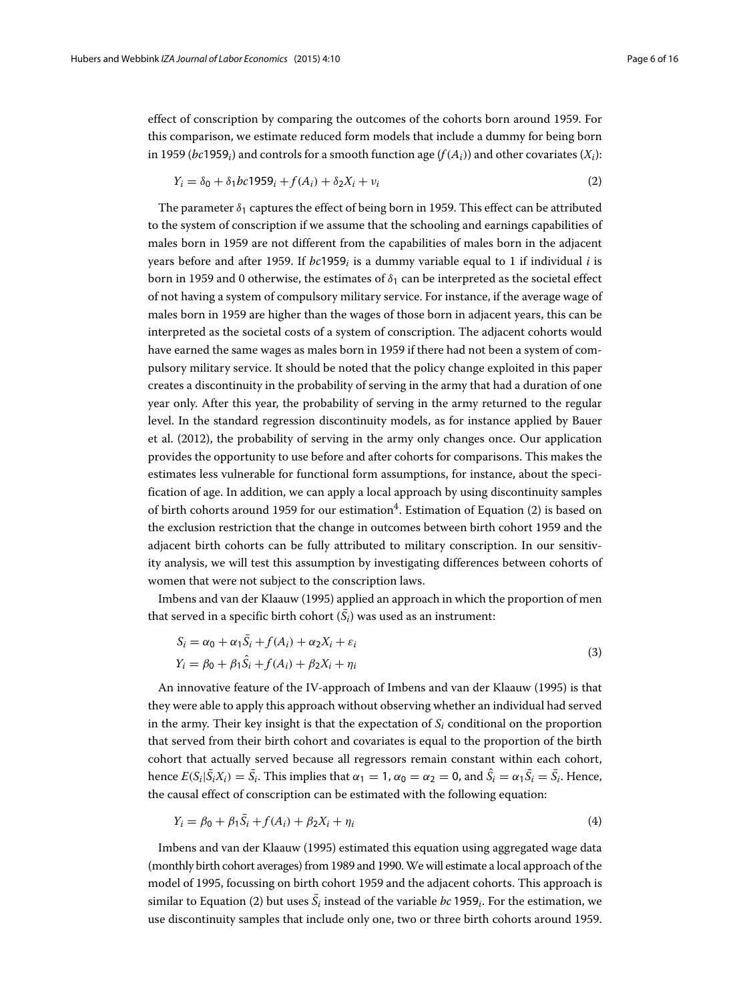effect of conscription by comparing the outcomes of the cohorts born around 1959. For this comparison, we estimate reduced form models that include a dummy for being born in 1959 ( $bc$ 1959<sub>*i*</sub>) and controls for a smooth function age ( $f(A_i)$ ) and other covariates ( $X_i$ ):

<span id="page-5-0"></span>
$$
Y_i = \delta_0 + \delta_1 bc \mathbf{1959}_i + f(A_i) + \delta_2 X_i + v_i \tag{2}
$$

The parameter  $\delta_1$  captures the effect of being born in 1959. This effect can be attributed to the system of conscription if we assume that the schooling and earnings capabilities of males born in 1959 are not different from the capabilities of males born in the adjacent years before and after 1959. If *bc*1959*<sup>i</sup>* is a dummy variable equal to 1 if individual *i* is born in 1959 and 0 otherwise, the estimates of  $\delta_1$  can be interpreted as the societal effect of not having a system of compulsory military service. For instance, if the average wage of males born in 1959 are higher than the wages of those born in adjacent years, this can be interpreted as the societal costs of a system of conscription. The adjacent cohorts would have earned the same wages as males born in 1959 if there had not been a system of compulsory military service. It should be noted that the policy change exploited in this paper creates a discontinuity in the probability of serving in the army that had a duration of one year only. After this year, the probability of serving in the army returned to the regular level. In the standard regression discontinuity models, as for instance applied by Bauer et al. [\(2012\)](#page-15-8), the probability of serving in the army only changes once. Our application provides the opportunity to use before and after cohorts for comparisons. This makes the estimates less vulnerable for functional form assumptions, for instance, about the specification of age. In addition, we can apply a local approach by using discontinuity samples of birth cohorts around 1959 for our estimation<sup>4</sup>. Estimation of Equation [\(2\)](#page-5-0) is based on the exclusion restriction that the change in outcomes between birth cohort 1959 and the adjacent birth cohorts can be fully attributed to military conscription. In our sensitivity analysis, we will test this assumption by investigating differences between cohorts of women that were not subject to the conscription laws.

Imbens and van der Klaauw [\(1995\)](#page-15-7) applied an approach in which the proportion of men that served in a specific birth cohort  $(S_i)$  was used as an instrument:

$$
S_i = \alpha_0 + \alpha_1 S_i + f(A_i) + \alpha_2 X_i + \varepsilon_i
$$
  
\n
$$
Y_i = \beta_0 + \beta_1 \hat{S}_i + f(A_i) + \beta_2 X_i + \eta_i
$$
\n(3)

An innovative feature of the IV-approach of Imbens and van der Klaauw [\(1995\)](#page-15-7) is that they were able to apply this approach without observing whether an individual had served in the army. Their key insight is that the expectation of  $S_i$  conditional on the proportion that served from their birth cohort and covariates is equal to the proportion of the birth cohort that actually served because all regressors remain constant within each cohort, hence  $E(S_i|S_iX_i) = S_i$ . This implies that  $\alpha_1 = 1$ ,  $\alpha_0 = \alpha_2 = 0$ , and  $S_i = \alpha_1 S_i = S_i$ . Hence, the causal effect of conscription can be estimated with the following equation:

<span id="page-5-1"></span>
$$
Y_i = \beta_0 + \beta_1 S_i + f(A_i) + \beta_2 X_i + \eta_i
$$
\n(4)

Imbens and van der Klaauw [\(1995\)](#page-15-7) estimated this equation using aggregated wage data (monthly birth cohort averages) from 1989 and 1990.We will estimate a local approach of the model of [1995,](#page-15-7) focussing on birth cohort 1959 and the adjacent cohorts. This approach is similar to Equation [\(2\)](#page-5-0) but uses  $S_i$  instead of the variable  $bc$  1959 $_i$ . For the estimation, we use discontinuity samples that include only one, two or three birth cohorts around 1959.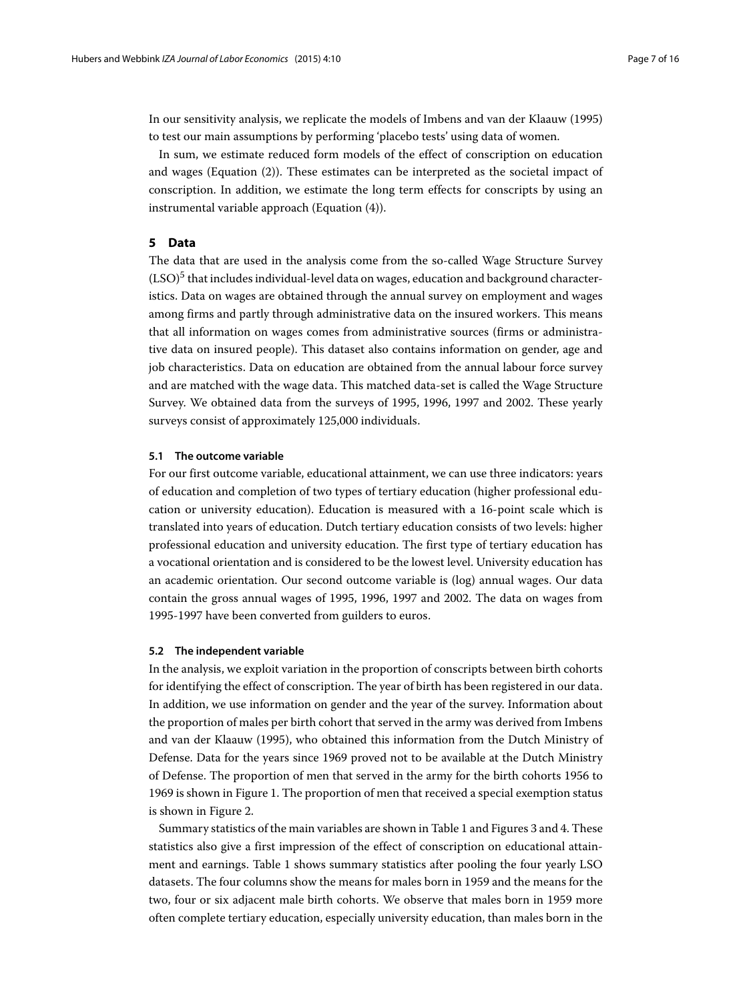In our sensitivity analysis, we replicate the models of Imbens and van der Klaauw [\(1995\)](#page-15-7) to test our main assumptions by performing 'placebo tests' using data of women.

In sum, we estimate reduced form models of the effect of conscription on education and wages (Equation [\(2\)](#page-5-0)). These estimates can be interpreted as the societal impact of conscription. In addition, we estimate the long term effects for conscripts by using an instrumental variable approach (Equation [\(4\)](#page-5-1)).

#### <span id="page-6-0"></span>**5 Data**

The data that are used in the analysis come from the so-called Wage Structure Survey  $(LSO)^5$  that includes individual-level data on wages, education and background characteristics. Data on wages are obtained through the annual survey on employment and wages among firms and partly through administrative data on the insured workers. This means that all information on wages comes from administrative sources (firms or administrative data on insured people). This dataset also contains information on gender, age and job characteristics. Data on education are obtained from the annual labour force survey and are matched with the wage data. This matched data-set is called the Wage Structure Survey. We obtained data from the surveys of 1995, 1996, 1997 and 2002. These yearly surveys consist of approximately 125,000 individuals.

#### **5.1 The outcome variable**

For our first outcome variable, educational attainment, we can use three indicators: years of education and completion of two types of tertiary education (higher professional education or university education). Education is measured with a 16-point scale which is translated into years of education. Dutch tertiary education consists of two levels: higher professional education and university education. The first type of tertiary education has a vocational orientation and is considered to be the lowest level. University education has an academic orientation. Our second outcome variable is (log) annual wages. Our data contain the gross annual wages of 1995, 1996, 1997 and 2002. The data on wages from 1995-1997 have been converted from guilders to euros.

#### **5.2 The independent variable**

In the analysis, we exploit variation in the proportion of conscripts between birth cohorts for identifying the effect of conscription. The year of birth has been registered in our data. In addition, we use information on gender and the year of the survey. Information about the proportion of males per birth cohort that served in the army was derived from Imbens and van der Klaauw [\(1995\)](#page-15-7), who obtained this information from the Dutch Ministry of Defense. Data for the years since 1969 proved not to be available at the Dutch Ministry of Defense. The proportion of men that served in the army for the birth cohorts 1956 to 1969 is shown in Figure [1.](#page-7-1) The proportion of men that received a special exemption status is shown in Figure [2.](#page-7-2)

Summary statistics of the main variables are shown in Table [1](#page-8-0) and Figures [3](#page-8-1) and [4.](#page-9-0) These statistics also give a first impression of the effect of conscription on educational attainment and earnings. Table [1](#page-8-0) shows summary statistics after pooling the four yearly LSO datasets. The four columns show the means for males born in 1959 and the means for the two, four or six adjacent male birth cohorts. We observe that males born in 1959 more often complete tertiary education, especially university education, than males born in the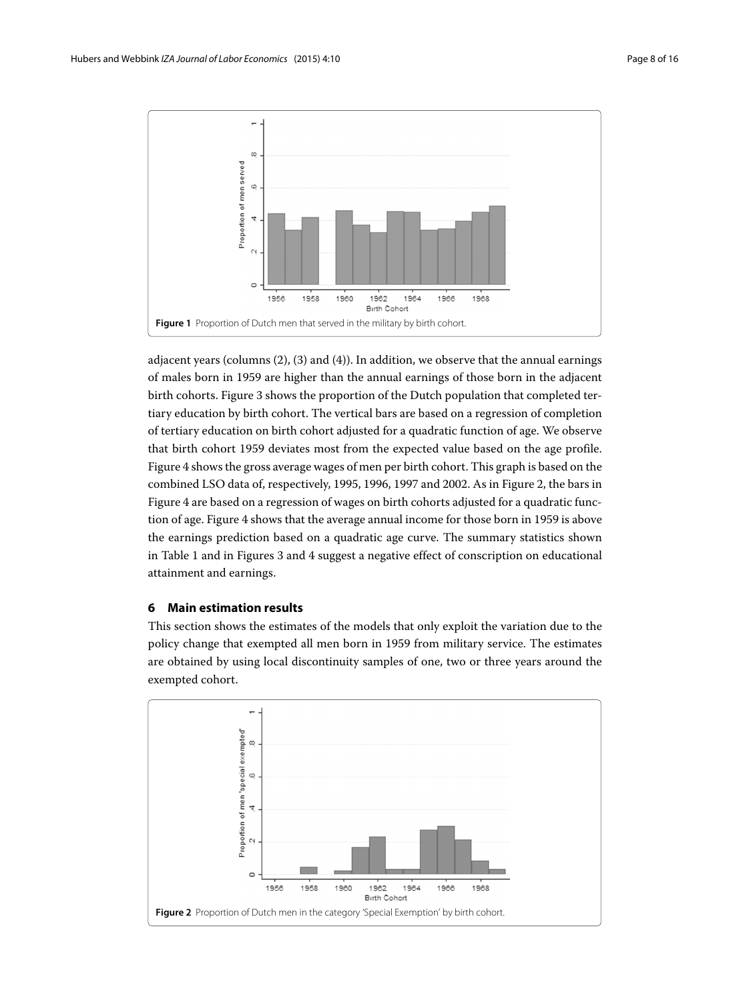

<span id="page-7-1"></span>adjacent years (columns  $(2)$ ,  $(3)$  and  $(4)$ ). In addition, we observe that the annual earnings of males born in 1959 are higher than the annual earnings of those born in the adjacent birth cohorts. Figure [3](#page-8-1) shows the proportion of the Dutch population that completed tertiary education by birth cohort. The vertical bars are based on a regression of completion of tertiary education on birth cohort adjusted for a quadratic function of age. We observe that birth cohort 1959 deviates most from the expected value based on the age profile. Figure [4](#page-9-0) shows the gross average wages of men per birth cohort. This graph is based on the combined LSO data of, respectively, 1995, 1996, 1997 and 2002. As in Figure [2,](#page-7-2) the bars in Figure [4](#page-9-0) are based on a regression of wages on birth cohorts adjusted for a quadratic function of age. Figure [4](#page-9-0) shows that the average annual income for those born in 1959 is above the earnings prediction based on a quadratic age curve. The summary statistics shown in Table [1](#page-8-0) and in Figures [3](#page-8-1) and [4](#page-9-0) suggest a negative effect of conscription on educational attainment and earnings.

#### <span id="page-7-0"></span>**6 Main estimation results**

This section shows the estimates of the models that only exploit the variation due to the policy change that exempted all men born in 1959 from military service. The estimates are obtained by using local discontinuity samples of one, two or three years around the exempted cohort.

<span id="page-7-2"></span>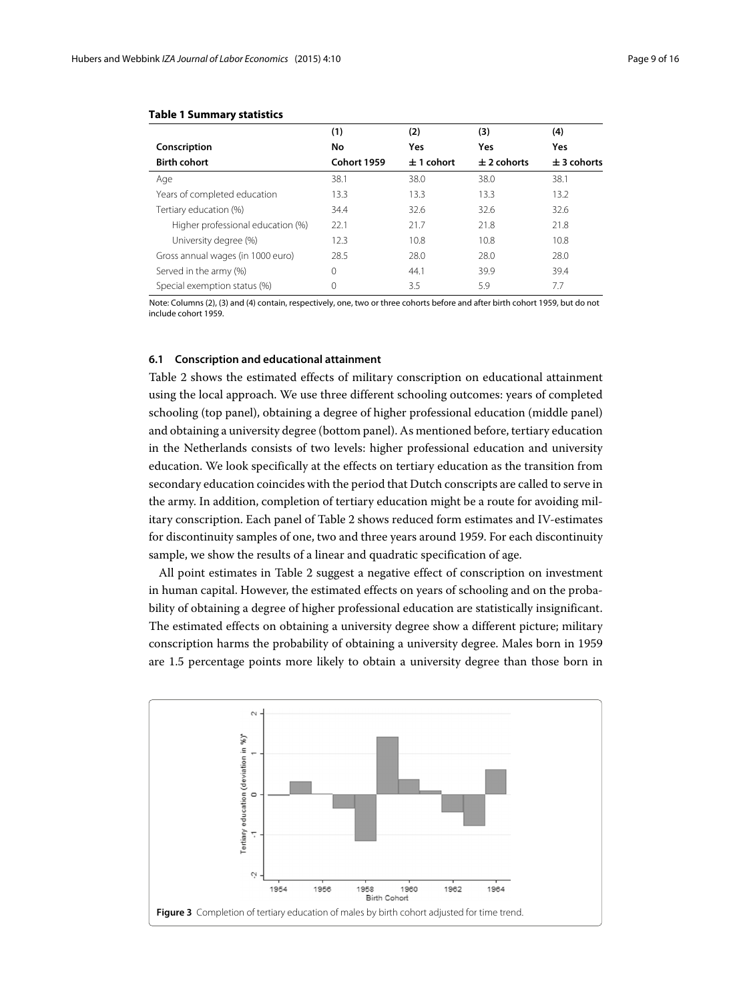<span id="page-8-0"></span>

|                                   | (1)                | (2)          | (3)             | (4)           |
|-----------------------------------|--------------------|--------------|-----------------|---------------|
| Conscription                      | No                 | Yes          | Yes             | Yes           |
| <b>Birth cohort</b>               | <b>Cohort 1959</b> | $± 1$ cohort | $\pm$ 2 cohorts | $± 3$ cohorts |
| Age                               | 38.1               | 38.0         | 38.0            | 38.1          |
| Years of completed education      | 13.3               | 13.3         | 13.3            | 13.2          |
| Tertiary education (%)            | 34.4               | 32.6         | 32.6            | 32.6          |
| Higher professional education (%) | 22.1               | 21.7         | 21.8            | 21.8          |
| University degree (%)             | 12.3               | 10.8         | 10.8            | 10.8          |
| Gross annual wages (in 1000 euro) | 28.5               | 28.0         | 28.0            | 28.0          |
| Served in the army (%)            | 0                  | 44.1         | 39.9            | 39.4          |
| Special exemption status (%)      | 0                  | 3.5          | 5.9             | 7.7           |

#### **Table 1 Summary statistics**

Note: Columns (2), (3) and (4) contain, respectively, one, two or three cohorts before and after birth cohort 1959, but do not include cohort 1959.

#### **6.1 Conscription and educational attainment**

Table [2](#page-9-1) shows the estimated effects of military conscription on educational attainment using the local approach. We use three different schooling outcomes: years of completed schooling (top panel), obtaining a degree of higher professional education (middle panel) and obtaining a university degree (bottom panel). As mentioned before, tertiary education in the Netherlands consists of two levels: higher professional education and university education. We look specifically at the effects on tertiary education as the transition from secondary education coincides with the period that Dutch conscripts are called to serve in the army. In addition, completion of tertiary education might be a route for avoiding military conscription. Each panel of Table [2](#page-9-1) shows reduced form estimates and IV-estimates for discontinuity samples of one, two and three years around 1959. For each discontinuity sample, we show the results of a linear and quadratic specification of age.

All point estimates in Table [2](#page-9-1) suggest a negative effect of conscription on investment in human capital. However, the estimated effects on years of schooling and on the probability of obtaining a degree of higher professional education are statistically insignificant. The estimated effects on obtaining a university degree show a different picture; military conscription harms the probability of obtaining a university degree. Males born in 1959 are 1.5 percentage points more likely to obtain a university degree than those born in

<span id="page-8-1"></span>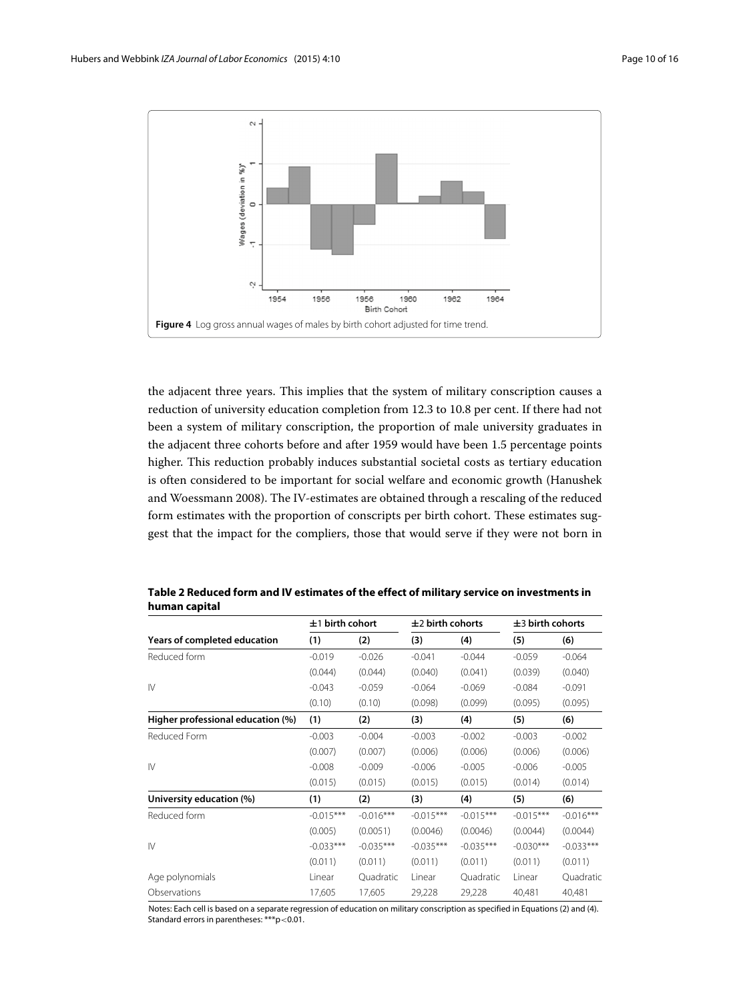

<span id="page-9-0"></span>the adjacent three years. This implies that the system of military conscription causes a reduction of university education completion from 12.3 to 10.8 per cent. If there had not been a system of military conscription, the proportion of male university graduates in the adjacent three cohorts before and after 1959 would have been 1.5 percentage points higher. This reduction probably induces substantial societal costs as tertiary education is often considered to be important for social welfare and economic growth (Hanushek and Woessmann [2008\)](#page-15-19). The IV-estimates are obtained through a rescaling of the reduced form estimates with the proportion of conscripts per birth cohort. These estimates suggest that the impact for the compliers, those that would serve if they were not born in

|                                   | $±1$ birth cohort |             | $±2$ birth cohorts |             | $±3$ birth cohorts |             |
|-----------------------------------|-------------------|-------------|--------------------|-------------|--------------------|-------------|
| Years of completed education      | (1)               | (2)         | (3)                | (4)         | (5)                | (6)         |
| Reduced form                      | $-0.019$          | $-0.026$    | $-0.041$           | $-0.044$    | $-0.059$           | $-0.064$    |
|                                   | (0.044)           | (0.044)     | (0.040)            | (0.041)     | (0.039)            | (0.040)     |
| $\mathsf{IV}$                     | $-0.043$          | $-0.059$    | $-0.064$           | $-0.069$    | $-0.084$           | $-0.091$    |
|                                   | (0.10)            | (0.10)      | (0.098)            | (0.099)     | (0.095)            | (0.095)     |
| Higher professional education (%) | (1)               | (2)         | (3)                | (4)         | (5)                | (6)         |
| Reduced Form                      | $-0.003$          | $-0.004$    | $-0.003$           | $-0.002$    | $-0.003$           | $-0.002$    |
|                                   | (0.007)           | (0.007)     | (0.006)            | (0.006)     | (0.006)            | (0.006)     |
| $\mathsf{N}$                      | $-0.008$          | $-0.009$    | $-0.006$           | $-0.005$    | $-0.006$           | $-0.005$    |
|                                   | (0.015)           | (0.015)     | (0.015)            | (0.015)     | (0.014)            | (0.014)     |
| University education (%)          | (1)               | (2)         | (3)                | (4)         | (5)                | (6)         |
| Reduced form                      | $-0.015***$       | $-0.016***$ | $-0.015***$        | $-0.015***$ | $-0.015***$        | $-0.016***$ |
|                                   | (0.005)           | (0.0051)    | (0.0046)           | (0.0046)    | (0.0044)           | (0.0044)    |
| $\mathsf{IV}$                     | $-0.033***$       | $-0.035***$ | $-0.035***$        | $-0.035***$ | $-0.030***$        | $-0.033***$ |
|                                   | (0.011)           | (0.011)     | (0.011)            | (0.011)     | (0.011)            | (0.011)     |
| Age polynomials                   | Linear            | Quadratic   | Linear             | Quadratic   | Linear             | Quadratic   |
| Observations                      | 17,605            | 17,605      | 29,228             | 29,228      | 40,481             | 40.481      |

<span id="page-9-1"></span>**Table 2 Reduced form and IV estimates of the effect of military service on investments in human capital**

Notes: Each cell is based on a separate regression of education on military conscription as specified in Equations [\(2\)](#page-5-0) and [\(4\)](#page-5-1). Standard errors in parentheses: \*\*\*p<0.01.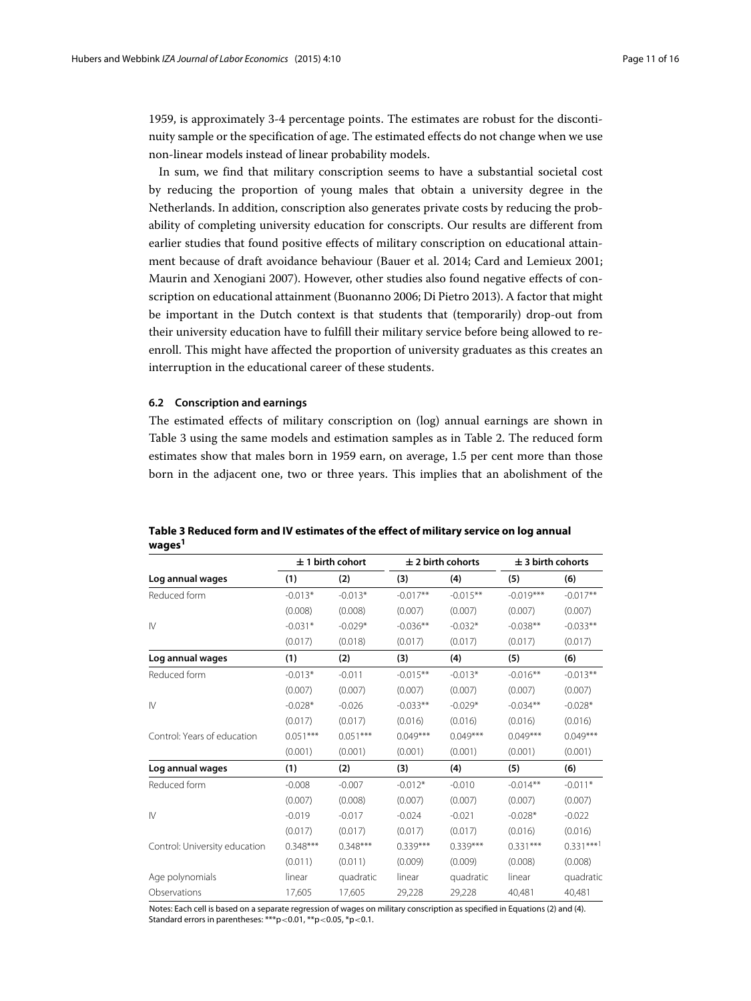1959, is approximately 3-4 percentage points. The estimates are robust for the discontinuity sample or the specification of age. The estimated effects do not change when we use non-linear models instead of linear probability models.

In sum, we find that military conscription seems to have a substantial societal cost by reducing the proportion of young males that obtain a university degree in the Netherlands. In addition, conscription also generates private costs by reducing the probability of completing university education for conscripts. Our results are different from earlier studies that found positive effects of military conscription on educational attainment because of draft avoidance behaviour (Bauer et al. [2014;](#page-15-2) Card and Lemieux [2001;](#page-15-4) Maurin and Xenogiani [2007\)](#page-15-3). However, other studies also found negative effects of conscription on educational attainment (Buonanno [2006;](#page-15-0) Di Pietro [2013\)](#page-15-16). A factor that might be important in the Dutch context is that students that (temporarily) drop-out from their university education have to fulfill their military service before being allowed to reenroll. This might have affected the proportion of university graduates as this creates an interruption in the educational career of these students.

#### **6.2 Conscription and earnings**

The estimated effects of military conscription on (log) annual earnings are shown in Table [3](#page-10-0) using the same models and estimation samples as in Table [2.](#page-9-1) The reduced form estimates show that males born in 1959 earn, on average, 1.5 per cent more than those born in the adjacent one, two or three years. This implies that an abolishment of the

|                               | $\pm$ 1 birth cohort |            |            | $\pm$ 2 birth cohorts | $\pm$ 3 birth cohorts |             |
|-------------------------------|----------------------|------------|------------|-----------------------|-----------------------|-------------|
| Log annual wages              | (1)                  | (2)        | (3)        | (4)                   | (5)                   | (6)         |
| Reduced form                  | $-0.013*$            | $-0.013*$  | $-0.017**$ | $-0.015**$            | $-0.019***$           | $-0.017**$  |
|                               | (0.008)              | (0.008)    | (0.007)    | (0.007)               | (0.007)               | (0.007)     |
| $\mathsf{IV}$                 | $-0.031*$            | $-0.029*$  | $-0.036**$ | $-0.032*$             | $-0.038**$            | $-0.033**$  |
|                               | (0.017)              | (0.018)    | (0.017)    | (0.017)               | (0.017)               | (0.017)     |
| Log annual wages              | (1)                  | (2)        | (3)        | (4)                   | (5)                   | (6)         |
| Reduced form                  | $-0.013*$            | $-0.011$   | $-0.015**$ | $-0.013*$             | $-0.016**$            | $-0.013**$  |
|                               | (0.007)              | (0.007)    | (0.007)    | (0.007)               | (0.007)               | (0.007)     |
| $\mathsf{IV}$                 | $-0.028*$            | $-0.026$   | $-0.033**$ | $-0.029*$             | $-0.034**$            | $-0.028*$   |
|                               | (0.017)              | (0.017)    | (0.016)    | (0.016)               | (0.016)               | (0.016)     |
| Control: Years of education   | $0.051***$           | $0.051***$ | $0.049***$ | $0.049***$            | $0.049***$            | $0.049***$  |
|                               | (0.001)              | (0.001)    | (0.001)    | (0.001)               | (0.001)               | (0.001)     |
| Log annual wages              | (1)                  | (2)        | (3)        | (4)                   | (5)                   | (6)         |
| Reduced form                  | $-0.008$             | $-0.007$   | $-0.012*$  | $-0.010$              | $-0.014**$            | $-0.011*$   |
|                               | (0.007)              | (0.008)    | (0.007)    | (0.007)               | (0.007)               | (0.007)     |
| $\mathsf{IV}$                 | $-0.019$             | $-0.017$   | $-0.024$   | $-0.021$              | $-0.028*$             | $-0.022$    |
|                               | (0.017)              | (0.017)    | (0.017)    | (0.017)               | (0.016)               | (0.016)     |
| Control: University education | $0.348***$           | $0.348***$ | $0.339***$ | $0.339***$            | $0.331***$            | $0.331***1$ |
|                               | (0.011)              | (0.011)    | (0.009)    | (0.009)               | (0.008)               | (0.008)     |
| Age polynomials               | linear               | quadratic  | linear     | quadratic             | linear                | quadratic   |
| Observations                  | 17,605               | 17,605     | 29,228     | 29,228                | 40,481                | 40,481      |

#### <span id="page-10-0"></span>**Table 3 Reduced form and IV estimates of the effect of military service on log annual wages1**

Notes: Each cell is based on a separate regression of wages on military conscription as specified in Equations [\(2\)](#page-5-0) and [\(4\)](#page-5-1). Standard errors in parentheses: \*\*\*p<0.01, \*\*p<0.05, \*p<0.1.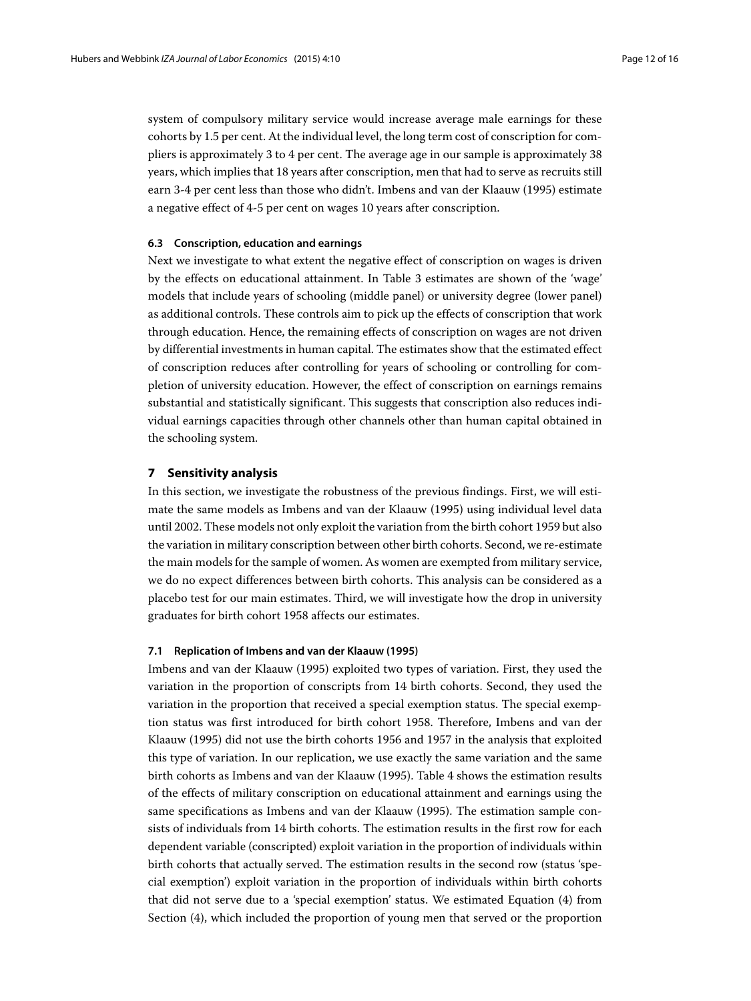system of compulsory military service would increase average male earnings for these cohorts by 1.5 per cent. At the individual level, the long term cost of conscription for compliers is approximately 3 to 4 per cent. The average age in our sample is approximately 38 years, which implies that 18 years after conscription, men that had to serve as recruits still earn 3-4 per cent less than those who didn't. Imbens and van der Klaauw [\(1995\)](#page-15-7) estimate a negative effect of 4-5 per cent on wages 10 years after conscription.

#### **6.3 Conscription, education and earnings**

Next we investigate to what extent the negative effect of conscription on wages is driven by the effects on educational attainment. In Table [3](#page-10-0) estimates are shown of the 'wage' models that include years of schooling (middle panel) or university degree (lower panel) as additional controls. These controls aim to pick up the effects of conscription that work through education. Hence, the remaining effects of conscription on wages are not driven by differential investments in human capital. The estimates show that the estimated effect of conscription reduces after controlling for years of schooling or controlling for completion of university education. However, the effect of conscription on earnings remains substantial and statistically significant. This suggests that conscription also reduces individual earnings capacities through other channels other than human capital obtained in the schooling system.

#### <span id="page-11-0"></span>**7 Sensitivity analysis**

In this section, we investigate the robustness of the previous findings. First, we will estimate the same models as Imbens and van der Klaauw [\(1995\)](#page-15-7) using individual level data until 2002. These models not only exploit the variation from the birth cohort 1959 but also the variation in military conscription between other birth cohorts. Second, we re-estimate the main models for the sample of women. As women are exempted from military service, we do no expect differences between birth cohorts. This analysis can be considered as a placebo test for our main estimates. Third, we will investigate how the drop in university graduates for birth cohort 1958 affects our estimates.

#### **7.1 Replication of Imbens and van der Klaauw [\(1995\)](#page-15-7)**

Imbens and van der Klaauw [\(1995\)](#page-15-7) exploited two types of variation. First, they used the variation in the proportion of conscripts from 14 birth cohorts. Second, they used the variation in the proportion that received a special exemption status. The special exemption status was first introduced for birth cohort 1958. Therefore, Imbens and van der Klaauw [\(1995\)](#page-15-7) did not use the birth cohorts 1956 and 1957 in the analysis that exploited this type of variation. In our replication, we use exactly the same variation and the same birth cohorts as Imbens and van der Klaauw [\(1995\)](#page-15-7). Table [4](#page-12-0) shows the estimation results of the effects of military conscription on educational attainment and earnings using the same specifications as Imbens and van der Klaauw [\(1995\)](#page-15-7). The estimation sample consists of individuals from 14 birth cohorts. The estimation results in the first row for each dependent variable (conscripted) exploit variation in the proportion of individuals within birth cohorts that actually served. The estimation results in the second row (status 'special exemption') exploit variation in the proportion of individuals within birth cohorts that did not serve due to a 'special exemption' status. We estimated Equation [\(4\)](#page-5-1) from Section [\(4\)](#page-4-0), which included the proportion of young men that served or the proportion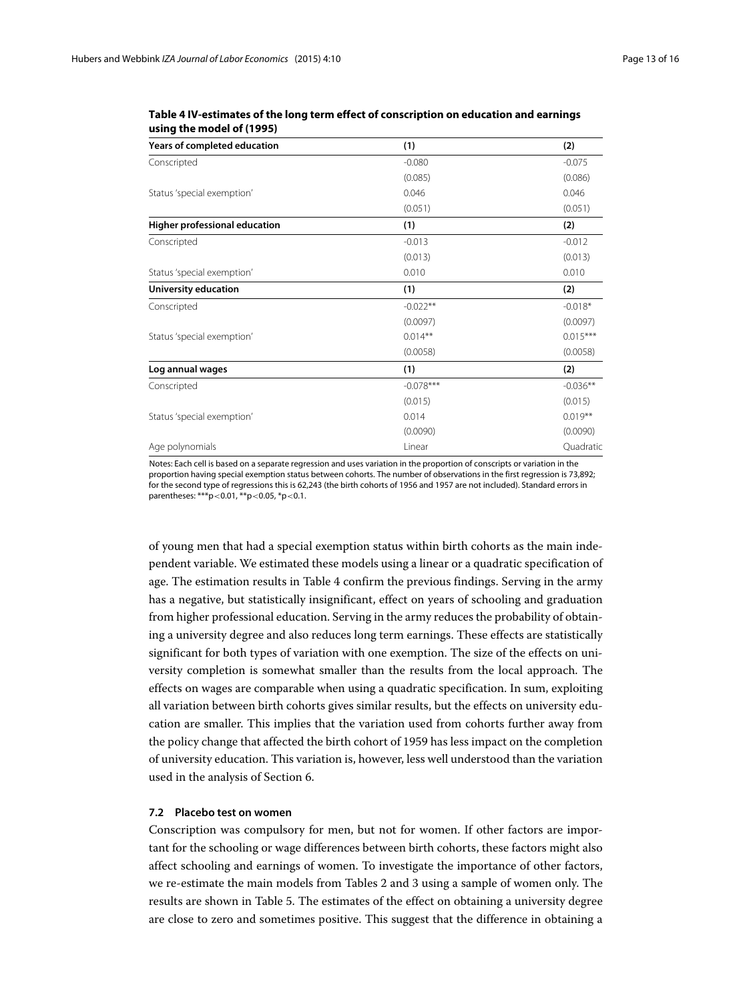| Years of completed education  | (1)         | (2)        |
|-------------------------------|-------------|------------|
| Conscripted                   | $-0.080$    | $-0.075$   |
|                               | (0.085)     | (0.086)    |
| Status 'special exemption'    | 0.046       | 0.046      |
|                               | (0.051)     | (0.051)    |
| Higher professional education | (1)         | (2)        |
| Conscripted                   | $-0.013$    | $-0.012$   |
|                               | (0.013)     | (0.013)    |
| Status 'special exemption'    | 0.010       | 0.010      |
| University education          | (1)         | (2)        |
| Conscripted                   | $-0.022**$  | $-0.018*$  |
|                               | (0.0097)    | (0.0097)   |
| Status 'special exemption'    | $0.014**$   | $0.015***$ |
|                               | (0.0058)    | (0.0058)   |
| Log annual wages              | (1)         | (2)        |
| Conscripted                   | $-0.078***$ | $-0.036**$ |
|                               | (0.015)     | (0.015)    |
| Status 'special exemption'    | 0.014       | $0.019**$  |
|                               | (0.0090)    | (0.0090)   |
| Age polynomials               | Linear      | Quadratic  |

<span id="page-12-0"></span>

| Table 4 IV-estimates of the long term effect of conscription on education and earnings |  |
|----------------------------------------------------------------------------------------|--|
| using the model of (1995)                                                              |  |

Notes: Each cell is based on a separate regression and uses variation in the proportion of conscripts or variation in the proportion having special exemption status between cohorts. The number of observations in the first regression is 73,892; for the second type of regressions this is 62,243 (the birth cohorts of 1956 and 1957 are not included). Standard errors in parentheses: \*\*\*p<0.01, \*\*p<0.05, \*p<0.1.

of young men that had a special exemption status within birth cohorts as the main independent variable. We estimated these models using a linear or a quadratic specification of age. The estimation results in Table [4](#page-12-0) confirm the previous findings. Serving in the army has a negative, but statistically insignificant, effect on years of schooling and graduation from higher professional education. Serving in the army reduces the probability of obtaining a university degree and also reduces long term earnings. These effects are statistically significant for both types of variation with one exemption. The size of the effects on university completion is somewhat smaller than the results from the local approach. The effects on wages are comparable when using a quadratic specification. In sum, exploiting all variation between birth cohorts gives similar results, but the effects on university education are smaller. This implies that the variation used from cohorts further away from the policy change that affected the birth cohort of 1959 has less impact on the completion of university education. This variation is, however, less well understood than the variation used in the analysis of Section [6.](#page-7-0)

#### **7.2 Placebo test on women**

Conscription was compulsory for men, but not for women. If other factors are important for the schooling or wage differences between birth cohorts, these factors might also affect schooling and earnings of women. To investigate the importance of other factors, we re-estimate the main models from Tables [2](#page-9-1) and [3](#page-10-0) using a sample of women only. The results are shown in Table [5.](#page-13-1) The estimates of the effect on obtaining a university degree are close to zero and sometimes positive. This suggest that the difference in obtaining a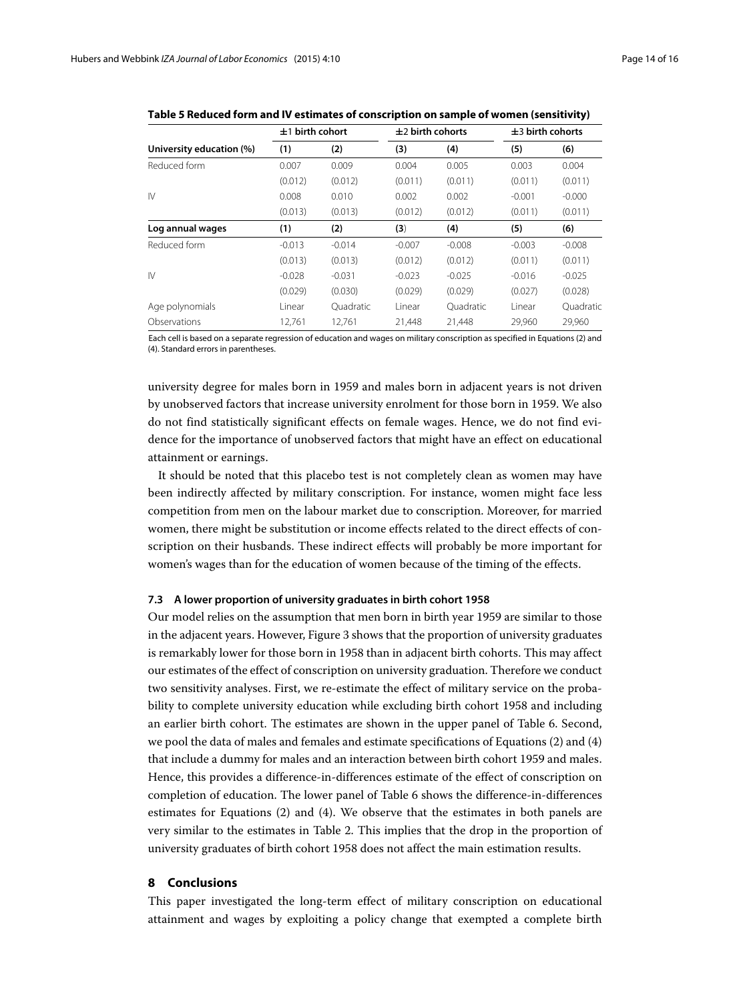<span id="page-13-1"></span>

|                          |          | $±1$ birth cohort |          | $±2$ birth cohorts |          | $±3$ birth cohorts |  |
|--------------------------|----------|-------------------|----------|--------------------|----------|--------------------|--|
| University education (%) | (1)      | (2)               | (3)      | (4)                | (5)      | (6)                |  |
| Reduced form             | 0.007    | 0.009             | 0.004    | 0.005              | 0.003    | 0.004              |  |
|                          | (0.012)  | (0.012)           | (0.011)  | (0.011)            | (0.011)  | (0.011)            |  |
| IV                       | 0.008    | 0.010             | 0.002    | 0.002              | $-0.001$ | $-0.000$           |  |
|                          | (0.013)  | (0.013)           | (0.012)  | (0.012)            | (0.011)  | (0.011)            |  |
| Log annual wages         | (1)      | (2)               | (3)      | (4)                | (5)      | (6)                |  |
| Reduced form             | $-0.013$ | $-0.014$          | $-0.007$ | $-0.008$           | $-0.003$ | $-0.008$           |  |
|                          | (0.013)  | (0.013)           | (0.012)  | (0.012)            | (0.011)  | (0.011)            |  |
| $\mathbb N$              | $-0.028$ | $-0.031$          | $-0.023$ | $-0.025$           | $-0.016$ | $-0.025$           |  |
|                          | (0.029)  | (0.030)           | (0.029)  | (0.029)            | (0.027)  | (0.028)            |  |
| Age polynomials          | Linear   | Ouadratic         | Linear   | Ouadratic          | Linear   | Ouadratic          |  |
| Observations             | 12.761   | 12.761            | 21,448   | 21,448             | 29.960   | 29,960             |  |

**Table 5 Reduced form and IV estimates of conscription on sample of women (sensitivity)**

Each cell is based on a separate regression of education and wages on military conscription as specified in Equations [\(2\)](#page-5-0) and [\(4\)](#page-5-1). Standard errors in parentheses.

university degree for males born in 1959 and males born in adjacent years is not driven by unobserved factors that increase university enrolment for those born in 1959. We also do not find statistically significant effects on female wages. Hence, we do not find evidence for the importance of unobserved factors that might have an effect on educational attainment or earnings.

It should be noted that this placebo test is not completely clean as women may have been indirectly affected by military conscription. For instance, women might face less competition from men on the labour market due to conscription. Moreover, for married women, there might be substitution or income effects related to the direct effects of conscription on their husbands. These indirect effects will probably be more important for women's wages than for the education of women because of the timing of the effects.

#### **7.3 A lower proportion of university graduates in birth cohort 1958**

Our model relies on the assumption that men born in birth year 1959 are similar to those in the adjacent years. However, Figure [3](#page-8-1) shows that the proportion of university graduates is remarkably lower for those born in 1958 than in adjacent birth cohorts. This may affect our estimates of the effect of conscription on university graduation. Therefore we conduct two sensitivity analyses. First, we re-estimate the effect of military service on the probability to complete university education while excluding birth cohort 1958 and including an earlier birth cohort. The estimates are shown in the upper panel of Table [6.](#page-14-0) Second, we pool the data of males and females and estimate specifications of Equations [\(2\)](#page-5-0) and [\(4\)](#page-5-1) that include a dummy for males and an interaction between birth cohort 1959 and males. Hence, this provides a difference-in-differences estimate of the effect of conscription on completion of education. The lower panel of Table [6](#page-14-0) shows the difference-in-differences estimates for Equations [\(2\)](#page-5-0) and [\(4\)](#page-5-1). We observe that the estimates in both panels are very similar to the estimates in Table [2.](#page-9-1) This implies that the drop in the proportion of university graduates of birth cohort 1958 does not affect the main estimation results.

#### <span id="page-13-0"></span>**8 Conclusions**

This paper investigated the long-term effect of military conscription on educational attainment and wages by exploiting a policy change that exempted a complete birth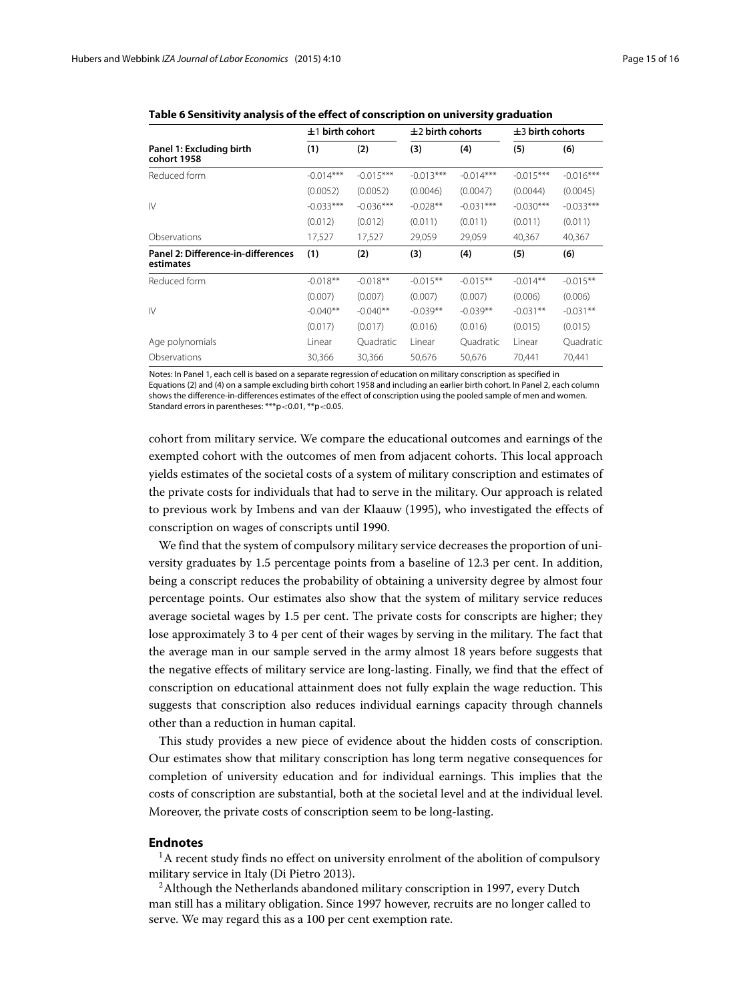<span id="page-14-0"></span>

|                                                 | $±1$ birth cohort |                  | $±2$ birth cohorts |             | $±3$ birth cohorts |             |
|-------------------------------------------------|-------------------|------------------|--------------------|-------------|--------------------|-------------|
| Panel 1: Excluding birth<br>cohort 1958         | (1)               | (2)              | (3)                | (4)         | (5)                | (6)         |
| Reduced form                                    | $-0.014***$       | $-0.015***$      | $-0.013***$        | $-0.014***$ | $-0.015***$        | $-0.016***$ |
|                                                 | (0.0052)          | (0.0052)         | (0.0046)           | (0.0047)    | (0.0044)           | (0.0045)    |
| $\mathsf{IV}$                                   | $-0.033***$       | $-0.036***$      | $-0.028**$         | $-0.031***$ | $-0.030***$        | $-0.033***$ |
|                                                 | (0.012)           | (0.012)          | (0.011)            | (0.011)     | (0.011)            | (0.011)     |
| Observations                                    | 17,527            | 17,527           | 29,059             | 29,059      | 40,367             | 40,367      |
| Panel 2: Difference-in-differences<br>estimates | (1)               | (2)              | (3)                | (4)         | (5)                | (6)         |
| Reduced form                                    | $-0.018**$        | $-0.018**$       | $-0.015**$         | $-0.015**$  | $-0.014**$         | $-0.015**$  |
|                                                 | (0.007)           | (0.007)          | (0.007)            | (0.007)     | (0.006)            | (0.006)     |
| $\mathsf{IV}$                                   | $-0.040**$        | $-0.040**$       | $-0.039**$         | $-0.039**$  | $-0.031**$         | $-0.031**$  |
|                                                 | (0.017)           | (0.017)          | (0.016)            | (0.016)     | (0.015)            | (0.015)     |
| Age polynomials                                 | Linear            | <b>Ouadratic</b> | Linear             | Quadratic   | Linear             | Ouadratic   |
| Observations                                    | 30,366            | 30,366           | 50,676             | 50,676      | 70,441             | 70,441      |

**Table 6 Sensitivity analysis of the effect of conscription on university graduation**

Notes: In Panel 1, each cell is based on a separate regression of education on military conscription as specified in Equations [\(2\)](#page-5-0) and [\(4\)](#page-5-1) on a sample excluding birth cohort 1958 and including an earlier birth cohort. In Panel 2, each column shows the difference-in-differences estimates of the effect of conscription using the pooled sample of men and women. Standard errors in parentheses: \*\*\*p<0.01, \*\*p<0.05.

cohort from military service. We compare the educational outcomes and earnings of the exempted cohort with the outcomes of men from adjacent cohorts. This local approach yields estimates of the societal costs of a system of military conscription and estimates of the private costs for individuals that had to serve in the military. Our approach is related to previous work by Imbens and van der Klaauw [\(1995\)](#page-15-7), who investigated the effects of conscription on wages of conscripts until 1990.

We find that the system of compulsory military service decreases the proportion of university graduates by 1.5 percentage points from a baseline of 12.3 per cent. In addition, being a conscript reduces the probability of obtaining a university degree by almost four percentage points. Our estimates also show that the system of military service reduces average societal wages by 1.5 per cent. The private costs for conscripts are higher; they lose approximately 3 to 4 per cent of their wages by serving in the military. The fact that the average man in our sample served in the army almost 18 years before suggests that the negative effects of military service are long-lasting. Finally, we find that the effect of conscription on educational attainment does not fully explain the wage reduction. This suggests that conscription also reduces individual earnings capacity through channels other than a reduction in human capital.

This study provides a new piece of evidence about the hidden costs of conscription. Our estimates show that military conscription has long term negative consequences for completion of university education and for individual earnings. This implies that the costs of conscription are substantial, both at the societal level and at the individual level. Moreover, the private costs of conscription seem to be long-lasting.

#### **Endnotes**

 $1<sup>1</sup>$  A recent study finds no effect on university enrolment of the abolition of compulsory military service in Italy (Di Pietro [2013\)](#page-15-16).

<sup>2</sup> Although the Netherlands abandoned military conscription in 1997, every Dutch man still has a military obligation. Since 1997 however, recruits are no longer called to serve. We may regard this as a 100 per cent exemption rate.